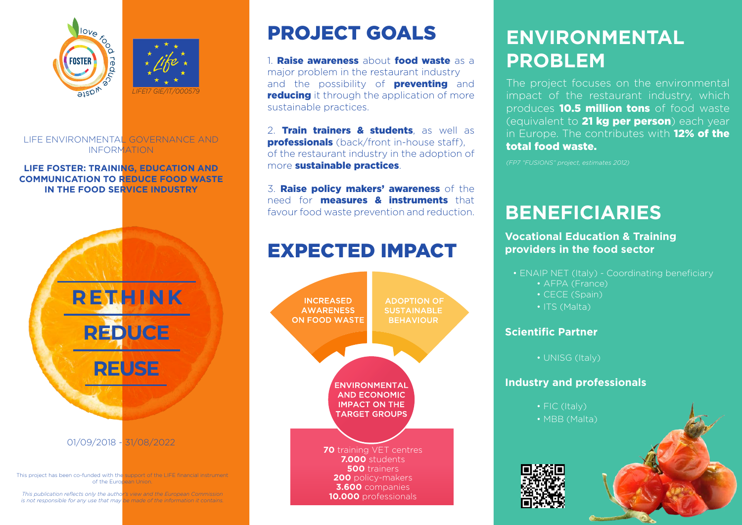



LIFE ENVIRONMENTAL GOVERNANCE AND INFORMATION

#### **LIFE FOSTER: TRAINING, EDUCATION AND COMMUNICATION TO REDUCE FOOD WASTE IN THE FOOD SERVICE INDUSTRY**



*This publication reflects only the author's view and the European Commission is not responsible for any use that may be made of the information it contains.*

# PROJECT GOALS

1 **Raise awareness** about **food waste** as a major problem in the restaurant industry and the possibility of **preventing** and **reducing** it through the application of more sustainable practices.

2. Train trainers & students, as well as **professionals** (back/front in-house staff). of the restaurant industry in the adoption of more sustainable practices.

3. Raise policy makers' awareness of the need for measures & instruments that favour food waste prevention and reduction.

### EXPECTED IMPACT



# **ENVIRONMENTAL PROBLEM**

The project focuses on the environmental impact of the restaurant industry, which produces **10.5 million tons** of food waste (equivalent to 21 kg per person) each year in Europe. The contributes with 12% of the total food waste.

*(FP7 "FUSIONS" project, estimates 2012)*

# **BENEFICIARIES**

### **Vocational Education & Training providers in the food sector**

- ENAIP NET (Italy) Coordinating beneficiary
	- AFPA (France)
	- CECE (Spain)
	- ITS (Malta)

### **Scientific Partner**

• UNISG (Italy)

### **Industry and professionals**

• FIC (Italy) • MBB (Malta)